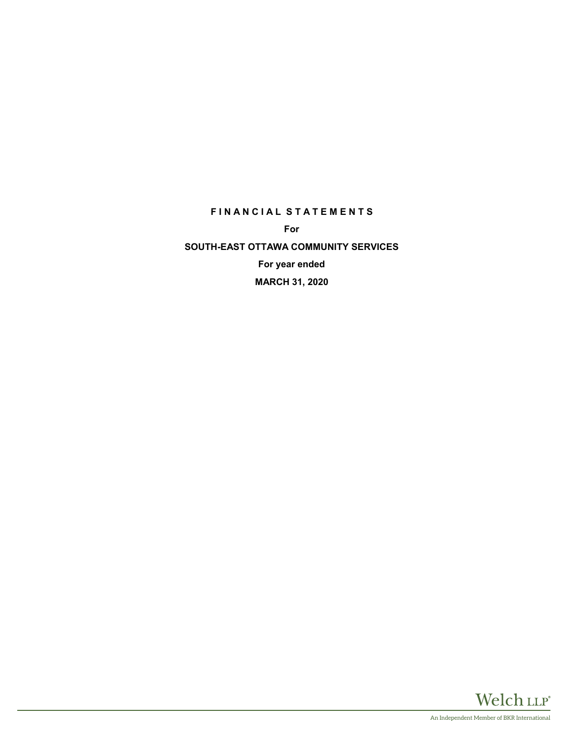## **F I N A N C I A L S T A T E M E N T S**

**For**

**SOUTH-EAST OTTAWA COMMUNITY SERVICES For year ended**

**MARCH 31, 2020**

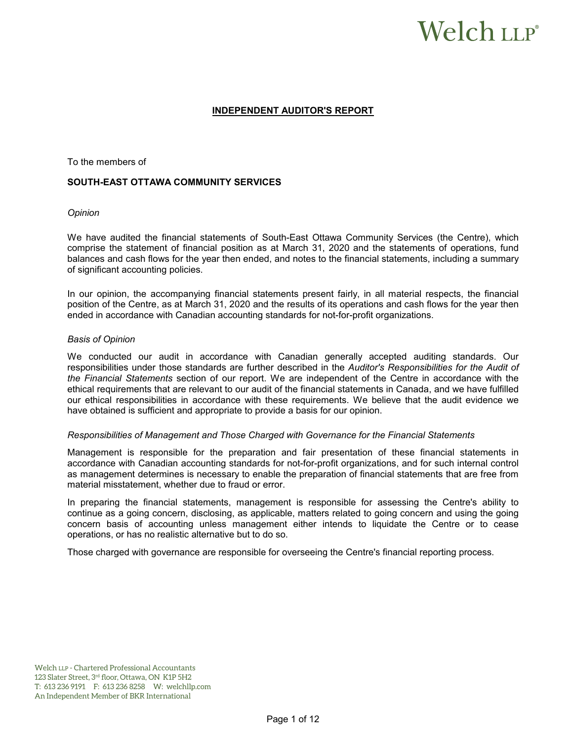# Welch LLP®

### **INDEPENDENT AUDITOR'S REPORT**

To the members of

#### **SOUTH-EAST OTTAWA COMMUNITY SERVICES**

#### *Opinion*

We have audited the financial statements of South-East Ottawa Community Services (the Centre), which comprise the statement of financial position as at March 31, 2020 and the statements of operations, fund balances and cash flows for the year then ended, and notes to the financial statements, including a summary of significant accounting policies.

In our opinion, the accompanying financial statements present fairly, in all material respects, the financial position of the Centre, as at March 31, 2020 and the results of its operations and cash flows for the year then ended in accordance with Canadian accounting standards for not-for-profit organizations.

#### *Basis of Opinion*

We conducted our audit in accordance with Canadian generally accepted auditing standards. Our responsibilities under those standards are further described in the *Auditor's Responsibilities for the Audit of the Financial Statements* section of our report. We are independent of the Centre in accordance with the ethical requirements that are relevant to our audit of the financial statements in Canada, and we have fulfilled our ethical responsibilities in accordance with these requirements. We believe that the audit evidence we have obtained is sufficient and appropriate to provide a basis for our opinion.

#### *Responsibilities of Management and Those Charged with Governance for the Financial Statements*

Management is responsible for the preparation and fair presentation of these financial statements in accordance with Canadian accounting standards for not-for-profit organizations, and for such internal control as management determines is necessary to enable the preparation of financial statements that are free from material misstatement, whether due to fraud or error.

In preparing the financial statements, management is responsible for assessing the Centre's ability to continue as a going concern, disclosing, as applicable, matters related to going concern and using the going concern basis of accounting unless management either intends to liquidate the Centre or to cease operations, or has no realistic alternative but to do so.

Those charged with governance are responsible for overseeing the Centre's financial reporting process.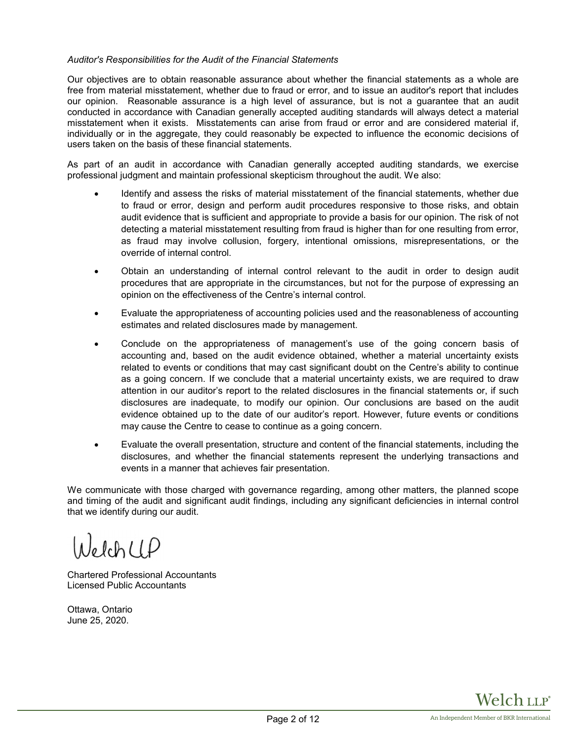#### *Auditor's Responsibilities for the Audit of the Financial Statements*

Our objectives are to obtain reasonable assurance about whether the financial statements as a whole are free from material misstatement, whether due to fraud or error, and to issue an auditor's report that includes our opinion. Reasonable assurance is a high level of assurance, but is not a guarantee that an audit conducted in accordance with Canadian generally accepted auditing standards will always detect a material misstatement when it exists. Misstatements can arise from fraud or error and are considered material if, individually or in the aggregate, they could reasonably be expected to influence the economic decisions of users taken on the basis of these financial statements.

As part of an audit in accordance with Canadian generally accepted auditing standards, we exercise professional judgment and maintain professional skepticism throughout the audit. We also:

- Identify and assess the risks of material misstatement of the financial statements, whether due to fraud or error, design and perform audit procedures responsive to those risks, and obtain audit evidence that is sufficient and appropriate to provide a basis for our opinion. The risk of not detecting a material misstatement resulting from fraud is higher than for one resulting from error, as fraud may involve collusion, forgery, intentional omissions, misrepresentations, or the override of internal control.
- Obtain an understanding of internal control relevant to the audit in order to design audit procedures that are appropriate in the circumstances, but not for the purpose of expressing an opinion on the effectiveness of the Centre's internal control.
- Evaluate the appropriateness of accounting policies used and the reasonableness of accounting estimates and related disclosures made by management.
- Conclude on the appropriateness of management's use of the going concern basis of accounting and, based on the audit evidence obtained, whether a material uncertainty exists related to events or conditions that may cast significant doubt on the Centre's ability to continue as a going concern. If we conclude that a material uncertainty exists, we are required to draw attention in our auditor's report to the related disclosures in the financial statements or, if such disclosures are inadequate, to modify our opinion. Our conclusions are based on the audit evidence obtained up to the date of our auditor's report. However, future events or conditions may cause the Centre to cease to continue as a going concern.
- Evaluate the overall presentation, structure and content of the financial statements, including the disclosures, and whether the financial statements represent the underlying transactions and events in a manner that achieves fair presentation.

We communicate with those charged with governance regarding, among other matters, the planned scope and timing of the audit and significant audit findings, including any significant deficiencies in internal control that we identify during our audit.

NelchUP

Chartered Professional Accountants Licensed Public Accountants

Ottawa, Ontario June 25, 2020.

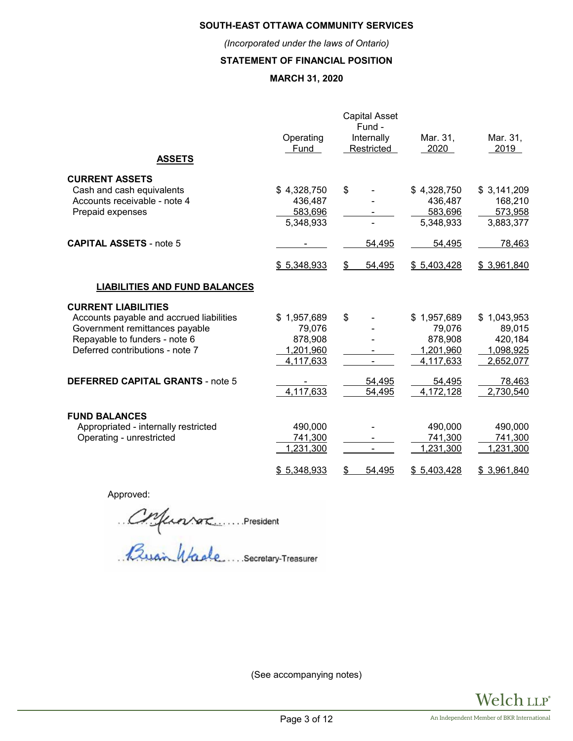## **SOUTH-EAST OTTAWA COMMUNITY SERVICES**

*(Incorporated under the laws of Ontario)*

## **STATEMENT OF FINANCIAL POSITION**

# **MARCH 31, 2020**

|                                          |             | <b>Capital Asset</b><br>Fund - |             |             |
|------------------------------------------|-------------|--------------------------------|-------------|-------------|
|                                          | Operating   | Internally                     | Mar. 31,    | Mar. 31,    |
|                                          | Fund        | Restricted                     | 2020        | 2019        |
| <b>ASSETS</b>                            |             |                                |             |             |
| <b>CURRENT ASSETS</b>                    |             |                                |             |             |
| Cash and cash equivalents                | \$4,328,750 | \$                             | \$4,328,750 | \$3,141,209 |
| Accounts receivable - note 4             | 436,487     |                                | 436,487     | 168,210     |
| Prepaid expenses                         | 583,696     |                                | 583,696     | 573,958     |
|                                          | 5,348,933   |                                | 5,348,933   | 3,883,377   |
| <b>CAPITAL ASSETS - note 5</b>           |             | 54,495                         | 54,495      | 78,463      |
|                                          | \$5,348,933 | \$<br>54,495                   | \$5,403,428 | \$3,961,840 |
| <b>LIABILITIES AND FUND BALANCES</b>     |             |                                |             |             |
| <b>CURRENT LIABILITIES</b>               |             |                                |             |             |
| Accounts payable and accrued liabilities | \$1,957,689 | \$                             | \$1,957,689 | \$1,043,953 |
| Government remittances payable           | 79,076      |                                | 79,076      | 89,015      |
| Repayable to funders - note 6            | 878,908     |                                | 878,908     | 420,184     |
| Deferred contributions - note 7          | 1,201,960   |                                | 1,201,960   | 1,098,925   |
|                                          | 4,117,633   |                                | 4,117,633   | 2,652,077   |
| <b>DEFERRED CAPITAL GRANTS - note 5</b>  |             | 54,495                         | 54,495      | 78,463      |
|                                          | 4,117,633   | 54,495                         | 4,172,128   | 2,730,540   |
| <b>FUND BALANCES</b>                     |             |                                |             |             |
| Appropriated - internally restricted     | 490,000     |                                | 490,000     | 490,000     |
| Operating - unrestricted                 | 741,300     |                                | 741,300     | 741,300     |
|                                          | 1,231,300   |                                | 1,231,300   | 1,231,300   |
|                                          | \$5,348,933 | 54,495<br>S                    | \$5,403,428 | \$3,961,840 |

Approved:

Coferator President

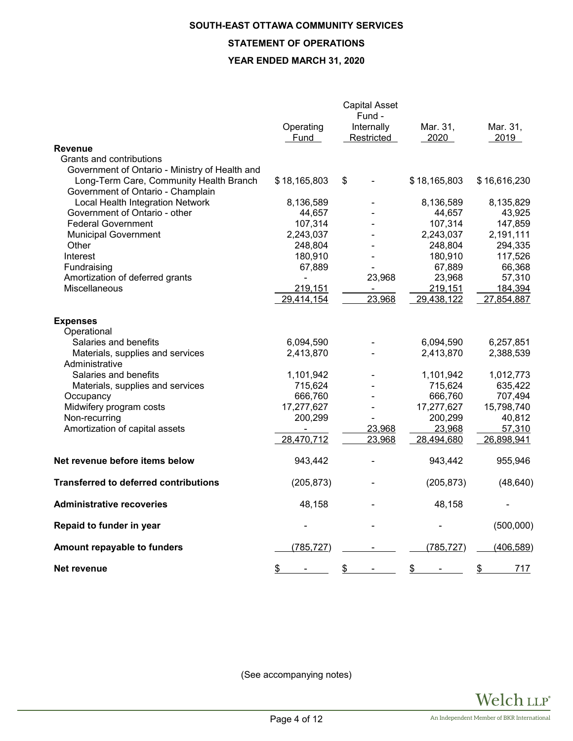## **SOUTH-EAST OTTAWA COMMUNITY SERVICES**

# **STATEMENT OF OPERATIONS**

### **YEAR ENDED MARCH 31, 2020**

|                                                |                | <b>Capital Asset</b><br>Fund - |              |              |
|------------------------------------------------|----------------|--------------------------------|--------------|--------------|
|                                                | Operating      | Internally                     | Mar. 31,     | Mar. 31,     |
| <b>Revenue</b>                                 | Fund           | Restricted                     | 2020         | 2019         |
| Grants and contributions                       |                |                                |              |              |
| Government of Ontario - Ministry of Health and |                |                                |              |              |
| Long-Term Care, Community Health Branch        | \$18,165,803   | \$                             | \$18,165,803 | \$16,616,230 |
| Government of Ontario - Champlain              |                |                                |              |              |
| Local Health Integration Network               | 8,136,589      |                                | 8,136,589    | 8,135,829    |
| Government of Ontario - other                  | 44,657         |                                | 44,657       | 43,925       |
| <b>Federal Government</b>                      | 107,314        |                                | 107,314      | 147,859      |
| <b>Municipal Government</b>                    | 2,243,037      |                                | 2,243,037    | 2,191,111    |
| Other                                          | 248,804        |                                | 248,804      | 294,335      |
| Interest                                       | 180,910        |                                | 180,910      | 117,526      |
| Fundraising                                    | 67,889         |                                | 67,889       | 66,368       |
| Amortization of deferred grants                | $\blacksquare$ | 23,968                         | 23,968       | 57,310       |
| Miscellaneous                                  | 219,151        |                                | 219,151      | 184,394      |
|                                                | 29,414,154     | 23,968                         | 29,438,122   | 27,854,887   |
| <b>Expenses</b>                                |                |                                |              |              |
| Operational                                    |                |                                |              |              |
| Salaries and benefits                          | 6,094,590      |                                | 6,094,590    | 6,257,851    |
| Materials, supplies and services               | 2,413,870      |                                | 2,413,870    | 2,388,539    |
| Administrative                                 |                |                                |              |              |
| Salaries and benefits                          | 1,101,942      |                                | 1,101,942    | 1,012,773    |
| Materials, supplies and services               | 715,624        |                                | 715,624      | 635,422      |
| Occupancy                                      | 666,760        |                                | 666,760      | 707,494      |
| Midwifery program costs                        | 17,277,627     |                                | 17,277,627   | 15,798,740   |
| Non-recurring                                  | 200,299        |                                | 200,299      | 40,812       |
| Amortization of capital assets                 |                | 23,968                         | 23,968       | 57,310       |
|                                                | 28,470,712     | 23,968                         | 28,494,680   | 26,898,941   |
| Net revenue before items below                 | 943,442        |                                | 943,442      | 955,946      |
| <b>Transferred to deferred contributions</b>   | (205, 873)     |                                | (205, 873)   | (48, 640)    |
| <b>Administrative recoveries</b>               | 48,158         |                                | 48,158       |              |
| Repaid to funder in year                       |                |                                |              | (500,000)    |
| Amount repayable to funders                    | (785, 727)     |                                | (785, 727)   | (406, 589)   |
| Net revenue                                    | \$             | \$                             | \$           | 717<br>\$    |

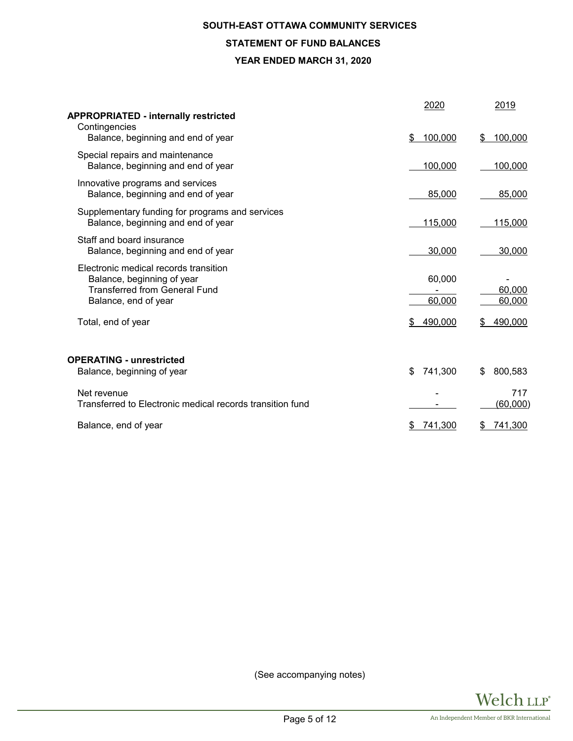## **SOUTH-EAST OTTAWA COMMUNITY SERVICES**

# **STATEMENT OF FUND BALANCES**

#### **YEAR ENDED MARCH 31, 2020**

| <b>APPROPRIATED - internally restricted</b><br>Contingencies                                                                        | 2020             | 2019                   |
|-------------------------------------------------------------------------------------------------------------------------------------|------------------|------------------------|
| Balance, beginning and end of year                                                                                                  | 100,000<br>\$    | 100,000<br>\$          |
| Special repairs and maintenance<br>Balance, beginning and end of year                                                               | 100,000          | 100,000                |
| Innovative programs and services<br>Balance, beginning and end of year                                                              | 85,000           | 85,000                 |
| Supplementary funding for programs and services<br>Balance, beginning and end of year                                               | 115,000          | 115,000                |
| Staff and board insurance<br>Balance, beginning and end of year                                                                     | 30,000           | 30,000                 |
| Electronic medical records transition<br>Balance, beginning of year<br><b>Transferred from General Fund</b><br>Balance, end of year | 60,000<br>60,000 | 60,000<br>60,000       |
| Total, end of year                                                                                                                  | 490,000<br>\$    | 490,000<br>\$          |
| <b>OPERATING - unrestricted</b><br>Balance, beginning of year                                                                       | \$<br>741,300    | 800,583<br>\$          |
| Net revenue<br>Transferred to Electronic medical records transition fund                                                            |                  | 717<br><u>(60,000)</u> |
| Balance, end of year                                                                                                                | 741,300<br>S     | 741,300<br>S           |

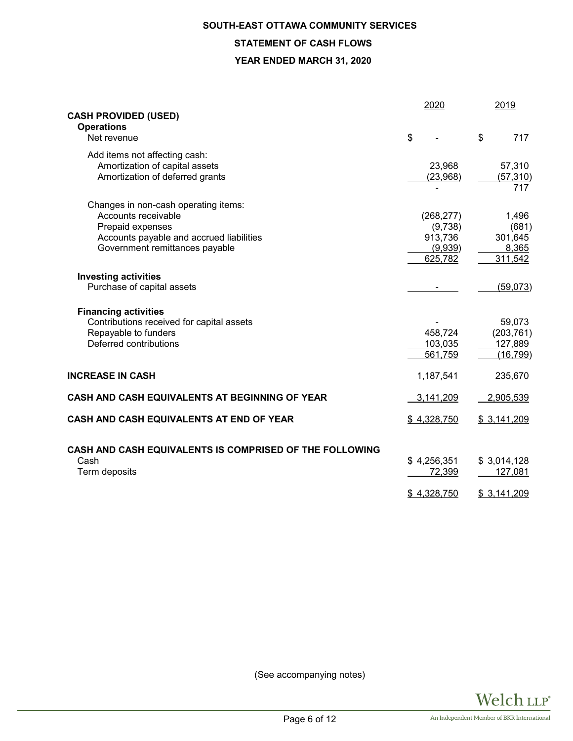# **SOUTH-EAST OTTAWA COMMUNITY SERVICES STATEMENT OF CASH FLOWS YEAR ENDED MARCH 31, 2020**

|                                                         | 2020                  | 2019                   |
|---------------------------------------------------------|-----------------------|------------------------|
| <b>CASH PROVIDED (USED)</b>                             |                       |                        |
| <b>Operations</b>                                       |                       |                        |
| Net revenue                                             | \$                    | \$<br>717              |
| Add items not affecting cash:                           |                       |                        |
| Amortization of capital assets                          | 23,968                | 57,310                 |
| Amortization of deferred grants                         | (23,968)              | (57, 310)              |
|                                                         |                       | 717                    |
| Changes in non-cash operating items:                    |                       |                        |
| Accounts receivable                                     | (268, 277)            | 1,496                  |
| Prepaid expenses                                        | (9,738)               | (681)                  |
| Accounts payable and accrued liabilities                | 913,736               | 301,645                |
| Government remittances payable                          | (9,939)               | 8,365                  |
|                                                         | 625,782               | 311,542                |
|                                                         |                       |                        |
| <b>Investing activities</b>                             |                       |                        |
| Purchase of capital assets                              |                       | (59, 073)              |
| <b>Financing activities</b>                             |                       |                        |
| Contributions received for capital assets               |                       | 59,073                 |
| Repayable to funders                                    | 458,724               | (203, 761)             |
| Deferred contributions                                  | 103,035               | 127,889                |
|                                                         | 561,759               | (16, 799)              |
|                                                         |                       |                        |
| <b>INCREASE IN CASH</b>                                 | 1,187,541             | 235,670                |
|                                                         |                       |                        |
| CASH AND CASH EQUIVALENTS AT BEGINNING OF YEAR          | 3,141,209             | 2,905,539              |
| CASH AND CASH EQUIVALENTS AT END OF YEAR                | \$4,328,750           | \$3,141,209            |
|                                                         |                       |                        |
|                                                         |                       |                        |
| CASH AND CASH EQUIVALENTS IS COMPRISED OF THE FOLLOWING |                       |                        |
| Cash<br>Term deposits                                   | \$4,256,351<br>72,399 | \$3,014,128<br>127,081 |
|                                                         |                       |                        |
|                                                         | \$4,328,750           | \$3,141,209            |

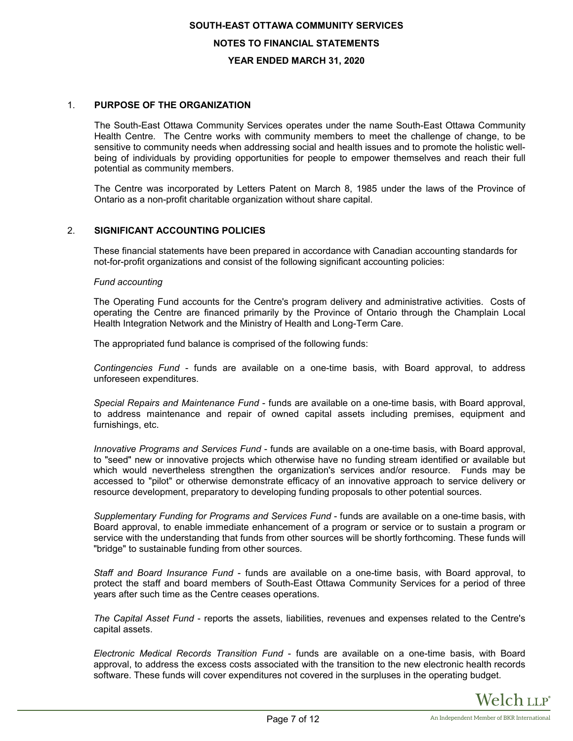# 1. **PURPOSE OF THE ORGANIZATION**

The South-East Ottawa Community Services operates under the name South-East Ottawa Community Health Centre. The Centre works with community members to meet the challenge of change, to be sensitive to community needs when addressing social and health issues and to promote the holistic wellbeing of individuals by providing opportunities for people to empower themselves and reach their full potential as community members.

The Centre was incorporated by Letters Patent on March 8, 1985 under the laws of the Province of Ontario as a non-profit charitable organization without share capital.

#### 2. **SIGNIFICANT ACCOUNTING POLICIES**

These financial statements have been prepared in accordance with Canadian accounting standards for not-for-profit organizations and consist of the following significant accounting policies:

#### *Fund accounting*

The Operating Fund accounts for the Centre's program delivery and administrative activities. Costs of operating the Centre are financed primarily by the Province of Ontario through the Champlain Local Health Integration Network and the Ministry of Health and Long-Term Care.

The appropriated fund balance is comprised of the following funds:

*Contingencies Fund* - funds are available on a one-time basis, with Board approval, to address unforeseen expenditures.

*Special Repairs and Maintenance Fund* - funds are available on a one-time basis, with Board approval, to address maintenance and repair of owned capital assets including premises, equipment and furnishings, etc.

*Innovative Programs and Services Fund* - funds are available on a one-time basis, with Board approval, to "seed" new or innovative projects which otherwise have no funding stream identified or available but which would nevertheless strengthen the organization's services and/or resource. Funds may be accessed to "pilot" or otherwise demonstrate efficacy of an innovative approach to service delivery or resource development, preparatory to developing funding proposals to other potential sources.

*Supplementary Funding for Programs and Services Fund* - funds are available on a one-time basis, with Board approval, to enable immediate enhancement of a program or service or to sustain a program or service with the understanding that funds from other sources will be shortly forthcoming. These funds will "bridge" to sustainable funding from other sources.

*Staff and Board Insurance Fund* - funds are available on a one-time basis, with Board approval, to protect the staff and board members of South-East Ottawa Community Services for a period of three years after such time as the Centre ceases operations.

*The Capital Asset Fund* - reports the assets, liabilities, revenues and expenses related to the Centre's capital assets.

*Electronic Medical Records Transition Fund* - funds are available on a one-time basis, with Board approval, to address the excess costs associated with the transition to the new electronic health records software. These funds will cover expenditures not covered in the surpluses in the operating budget.

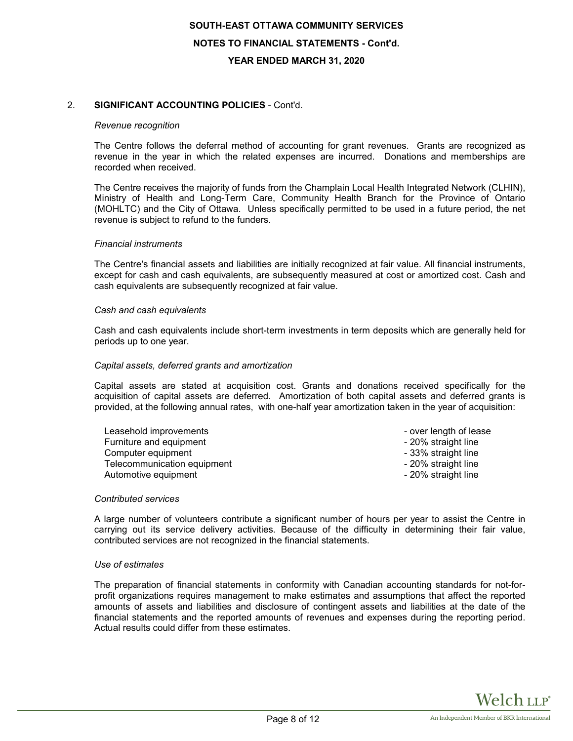### 2. **SIGNIFICANT ACCOUNTING POLICIES** - Cont'd.

#### *Revenue recognition*

The Centre follows the deferral method of accounting for grant revenues. Grants are recognized as revenue in the year in which the related expenses are incurred. Donations and memberships are recorded when received.

The Centre receives the majority of funds from the Champlain Local Health Integrated Network (CLHIN), Ministry of Health and Long-Term Care, Community Health Branch for the Province of Ontario (MOHLTC) and the City of Ottawa. Unless specifically permitted to be used in a future period, the net revenue is subject to refund to the funders.

#### *Financial instruments*

The Centre's financial assets and liabilities are initially recognized at fair value. All financial instruments, except for cash and cash equivalents, are subsequently measured at cost or amortized cost. Cash and cash equivalents are subsequently recognized at fair value.

#### *Cash and cash equivalents*

Cash and cash equivalents include short-term investments in term deposits which are generally held for periods up to one year.

#### *Capital assets, deferred grants and amortization*

Capital assets are stated at acquisition cost. Grants and donations received specifically for the acquisition of capital assets are deferred. Amortization of both capital assets and deferred grants is provided, at the following annual rates, with one-half year amortization taken in the year of acquisition:

| Leasehold improvements      | - over length of lease |
|-----------------------------|------------------------|
| Furniture and equipment     | - 20% straight line    |
| Computer equipment          | - 33% straight line    |
| Telecommunication equipment | - 20% straight line    |
| Automotive equipment        | - 20% straight line    |

#### *Contributed services*

A large number of volunteers contribute a significant number of hours per year to assist the Centre in carrying out its service delivery activities. Because of the difficulty in determining their fair value, contributed services are not recognized in the financial statements.

#### *Use of estimates*

The preparation of financial statements in conformity with Canadian accounting standards for not-forprofit organizations requires management to make estimates and assumptions that affect the reported amounts of assets and liabilities and disclosure of contingent assets and liabilities at the date of the financial statements and the reported amounts of revenues and expenses during the reporting period. Actual results could differ from these estimates.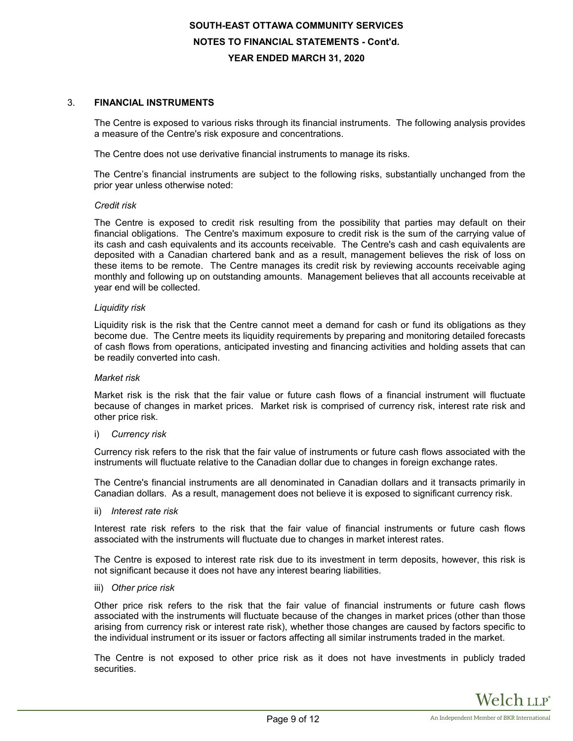#### 3. **FINANCIAL INSTRUMENTS**

The Centre is exposed to various risks through its financial instruments. The following analysis provides a measure of the Centre's risk exposure and concentrations.

The Centre does not use derivative financial instruments to manage its risks.

The Centre's financial instruments are subject to the following risks, substantially unchanged from the prior year unless otherwise noted:

#### *Credit risk*

The Centre is exposed to credit risk resulting from the possibility that parties may default on their financial obligations. The Centre's maximum exposure to credit risk is the sum of the carrying value of its cash and cash equivalents and its accounts receivable. The Centre's cash and cash equivalents are deposited with a Canadian chartered bank and as a result, management believes the risk of loss on these items to be remote. The Centre manages its credit risk by reviewing accounts receivable aging monthly and following up on outstanding amounts. Management believes that all accounts receivable at year end will be collected.

#### *Liquidity risk*

Liquidity risk is the risk that the Centre cannot meet a demand for cash or fund its obligations as they become due. The Centre meets its liquidity requirements by preparing and monitoring detailed forecasts of cash flows from operations, anticipated investing and financing activities and holding assets that can be readily converted into cash.

#### *Market risk*

Market risk is the risk that the fair value or future cash flows of a financial instrument will fluctuate because of changes in market prices. Market risk is comprised of currency risk, interest rate risk and other price risk.

#### i) *Currency risk*

Currency risk refers to the risk that the fair value of instruments or future cash flows associated with the instruments will fluctuate relative to the Canadian dollar due to changes in foreign exchange rates.

The Centre's financial instruments are all denominated in Canadian dollars and it transacts primarily in Canadian dollars. As a result, management does not believe it is exposed to significant currency risk.

ii) *Interest rate risk*

Interest rate risk refers to the risk that the fair value of financial instruments or future cash flows associated with the instruments will fluctuate due to changes in market interest rates.

The Centre is exposed to interest rate risk due to its investment in term deposits, however, this risk is not significant because it does not have any interest bearing liabilities.

iii) *Other price risk*

Other price risk refers to the risk that the fair value of financial instruments or future cash flows associated with the instruments will fluctuate because of the changes in market prices (other than those arising from currency risk or interest rate risk), whether those changes are caused by factors specific to the individual instrument or its issuer or factors affecting all similar instruments traded in the market.

The Centre is not exposed to other price risk as it does not have investments in publicly traded securities.

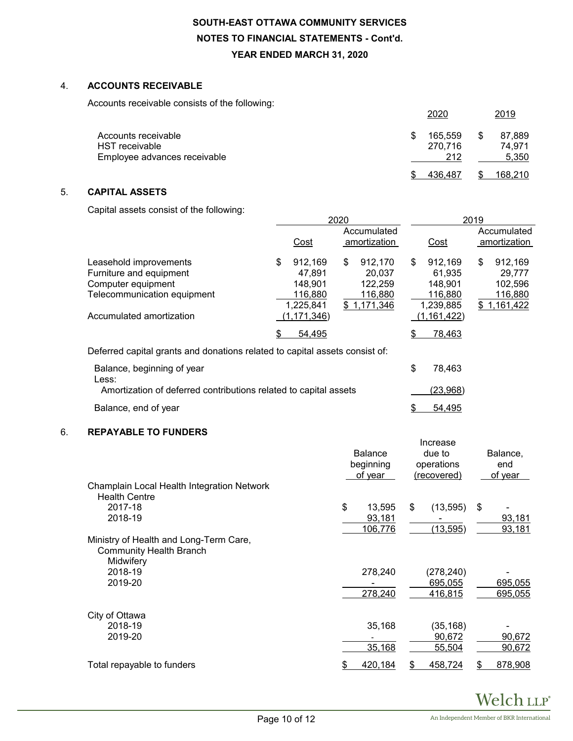# 4. **ACCOUNTS RECEIVABLE**

Accounts receivable consists of the following:

| ັ                                                                            | 2020                      | <u>2019</u>                     |
|------------------------------------------------------------------------------|---------------------------|---------------------------------|
| Accounts receivable<br><b>HST</b> receivable<br>Employee advances receivable | 165.559<br>270,716<br>212 | \$<br>87,889<br>74.971<br>5,350 |
|                                                                              | 436.487                   | 168.210                         |

# 5. **CAPITAL ASSETS**

Capital assets consist of the following:

|                                                                             |    | 2020          |    |              |    | 2019          |    |              |  |
|-----------------------------------------------------------------------------|----|---------------|----|--------------|----|---------------|----|--------------|--|
|                                                                             |    | Accumulated   |    |              |    |               |    | Accumulated  |  |
|                                                                             |    | Cost          |    | amortization |    | Cost          |    | amortization |  |
| Leasehold improvements                                                      | \$ | 912.169       | \$ | 912.170      | \$ | 912.169       | \$ | 912.169      |  |
| Furniture and equipment                                                     |    | 47.891        |    | 20.037       |    | 61.935        |    | 29.777       |  |
| Computer equipment                                                          |    | 148.901       |    | 122,259      |    | 148.901       |    | 102,596      |  |
| Telecommunication equipment                                                 |    | 116,880       |    | 116,880      |    | 116,880       |    | 116,880      |  |
|                                                                             |    | 1,225,841     |    | \$1,171,346  |    | 1,239,885     |    | \$1,161,422  |  |
| Accumulated amortization                                                    |    | (1, 171, 346) |    |              |    | (1, 161, 422) |    |              |  |
|                                                                             | \$ | 54,495        |    |              | S  | 78,463        |    |              |  |
| Deferred capital grants and donations related to capital assets consist of: |    |               |    |              |    |               |    |              |  |
|                                                                             |    |               |    |              |    |               |    |              |  |

| Balance, beginning of year                                       | 78.463   |
|------------------------------------------------------------------|----------|
| Less:                                                            |          |
| Amortization of deferred contributions related to capital assets | (23,968) |
| Balance, end of year                                             | 54.495   |

## 6. **REPAYABLE TO FUNDERS**

| Champlain Local Health Integration Network | <b>Balance</b><br>beginning<br>of year | Increase<br>due to<br>operations<br>(recovered) | Balance,<br>end<br>of year |  |  |
|--------------------------------------------|----------------------------------------|-------------------------------------------------|----------------------------|--|--|
| <b>Health Centre</b>                       |                                        |                                                 |                            |  |  |
| 2017-18                                    | \$<br>13,595                           | \$<br>(13, 595)                                 | \$                         |  |  |
| 2018-19                                    | 93,181                                 |                                                 | 93,181                     |  |  |
|                                            | 106,776                                | (13, 595)                                       | 93,181                     |  |  |
| Ministry of Health and Long-Term Care,     |                                        |                                                 |                            |  |  |
| <b>Community Health Branch</b>             |                                        |                                                 |                            |  |  |
| Midwifery                                  |                                        |                                                 |                            |  |  |
| 2018-19                                    | 278,240                                | (278,240)                                       |                            |  |  |
| 2019-20                                    |                                        | 695,055                                         | 695,055                    |  |  |
|                                            | 278,240                                | 416,815                                         | 695,055                    |  |  |
| City of Ottawa                             |                                        |                                                 |                            |  |  |
| 2018-19                                    | 35,168                                 | (35, 168)                                       |                            |  |  |
| 2019-20                                    |                                        | 90,672                                          | 90,672                     |  |  |
|                                            | 35,168                                 | 55,504                                          | 90,672                     |  |  |
| Total repayable to funders                 | 420,184                                | 458,724                                         | 878,908<br>S               |  |  |
|                                            |                                        |                                                 |                            |  |  |

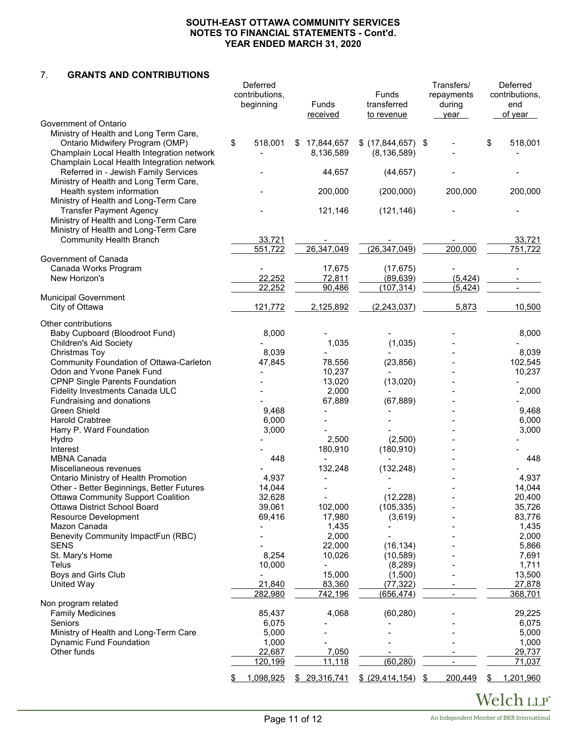#### 7. **GRANTS AND CONTRIBUTIONS**

|                                                                                                                         | Deferred<br>contributions,<br>beginning | Funds<br>received            | Funds<br>transferred<br>to revenue   | Transfers/<br>repayments<br>during<br>year | Deferred<br>contributions,<br>end<br>of year |
|-------------------------------------------------------------------------------------------------------------------------|-----------------------------------------|------------------------------|--------------------------------------|--------------------------------------------|----------------------------------------------|
| Government of Ontario                                                                                                   |                                         |                              |                                      |                                            |                                              |
| Ministry of Health and Long Term Care,<br>Ontario Midwifery Program (OMP)<br>Champlain Local Health Integration network | \$<br>518,001                           | 17,844,657<br>S<br>8,136,589 | $$$ (17,844,657) \$<br>(8, 136, 589) |                                            | \$<br>518,001                                |
| Champlain Local Health Integration network<br>Referred in - Jewish Family Services                                      |                                         | 44,657                       | (44, 657)                            |                                            |                                              |
| Ministry of Health and Long Term Care,<br>Health system information                                                     |                                         | 200,000                      | (200,000)                            | 200,000                                    | 200,000                                      |
| Ministry of Health and Long-Term Care<br><b>Transfer Payment Agency</b><br>Ministry of Health and Long-Term Care        |                                         | 121,146                      | (121, 146)                           |                                            |                                              |
| Ministry of Health and Long-Term Care<br><b>Community Health Branch</b>                                                 | 33,721<br>551,722                       | 26,347,049                   | (26, 347, 049)                       | 200,000                                    | 33,721<br>751,722                            |
| Government of Canada<br>Canada Works Program                                                                            |                                         | 17,675                       | (17, 675)                            |                                            |                                              |
| New Horizon's                                                                                                           | 22,252<br>22,252                        | 72,811<br>90,486             | (89, 639)<br>(107, 314)              | (5, 424)<br>(5, 424)                       |                                              |
| <b>Municipal Government</b>                                                                                             |                                         |                              |                                      |                                            |                                              |
| City of Ottawa                                                                                                          | 121,772                                 | 2,125,892                    | (2, 243, 037)                        | 5,873                                      | 10,500                                       |
| Other contributions                                                                                                     |                                         |                              |                                      |                                            |                                              |
| Baby Cupboard (Bloodroot Fund)                                                                                          | 8,000                                   |                              |                                      |                                            | 8,000                                        |
| <b>Children's Aid Society</b>                                                                                           | 8,039                                   | 1,035                        | (1,035)                              |                                            | 8,039                                        |
| Christmas Toy<br>Community Foundation of Ottawa-Carleton                                                                | 47,845                                  | 78,556                       | (23, 856)                            |                                            | 102,545                                      |
| Odon and Yvone Panek Fund                                                                                               |                                         | 10,237                       |                                      |                                            | 10,237                                       |
| <b>CPNP Single Parents Foundation</b>                                                                                   |                                         | 13,020                       | (13,020)                             |                                            |                                              |
| Fidelity Investments Canada ULC                                                                                         |                                         | 2,000                        |                                      |                                            | 2,000                                        |
| Fundraising and donations                                                                                               |                                         | 67,889                       | (67, 889)                            |                                            |                                              |
| Green Shield                                                                                                            | 9,468                                   |                              |                                      |                                            | 9,468                                        |
| <b>Harold Crabtree</b>                                                                                                  | 6,000                                   |                              |                                      |                                            | 6,000                                        |
| Harry P. Ward Foundation                                                                                                | 3,000                                   |                              |                                      |                                            | 3,000                                        |
| Hydro<br>Interest                                                                                                       |                                         | 2,500<br>180,910             | (2,500)                              |                                            |                                              |
| <b>MBNA Canada</b>                                                                                                      | 448                                     |                              | (180, 910)                           |                                            | 448                                          |
| Miscellaneous revenues                                                                                                  |                                         | 132,248                      | (132, 248)                           |                                            |                                              |
| Ontario Ministry of Health Promotion                                                                                    | 4,937                                   |                              |                                      |                                            | 4,937                                        |
| Other - Better Beginnings, Better Futures                                                                               | 14,044                                  |                              |                                      |                                            | 14,044                                       |
| <b>Ottawa Community Support Coalition</b>                                                                               | 32,628                                  |                              | (12, 228)                            |                                            | 20,400                                       |
| Ottawa District School Board                                                                                            | 39,061                                  | 102,000                      | (105, 335)                           |                                            | 35,726                                       |
| Resource Development                                                                                                    | 69,416                                  | 17,980                       | (3,619)                              |                                            | 83,776                                       |
| Mazon Canada                                                                                                            |                                         | 1,435                        |                                      |                                            | 1,435                                        |
| Benevity Community ImpactFun (RBC)                                                                                      |                                         | 2,000                        |                                      |                                            | 2,000                                        |
| <b>SENS</b><br>St. Mary's Home                                                                                          | 8,254                                   | 22,000<br>10,026             | (16, 134)<br>(10, 589)               |                                            | 5,866<br>7,691                               |
| Telus                                                                                                                   | 10,000                                  |                              | (8, 289)                             |                                            | 1,711                                        |
| Boys and Girls Club                                                                                                     |                                         | 15,000                       | (1,500)                              |                                            | 13,500                                       |
| United Way                                                                                                              | 21,840                                  | 83,360                       | (77, 322)                            |                                            | 27,878                                       |
|                                                                                                                         | 282,980                                 | 742,196                      | (656, 474)                           |                                            | 368,701                                      |
| Non program related<br><b>Family Medicines</b>                                                                          | 85,437                                  | 4,068                        | (60, 280)                            |                                            | 29,225                                       |
| Seniors                                                                                                                 | 6,075                                   |                              |                                      |                                            | 6,075                                        |
| Ministry of Health and Long-Term Care                                                                                   | 5,000                                   |                              |                                      |                                            | 5,000                                        |
| <b>Dynamic Fund Foundation</b>                                                                                          | 1,000                                   |                              |                                      |                                            | 1,000                                        |
| Other funds                                                                                                             | 22,687                                  | 7,050                        |                                      |                                            | 29,737                                       |
|                                                                                                                         | 120,199                                 | 11,118                       | (60, 280)                            |                                            | 71,037                                       |
|                                                                                                                         | 1,098,925                               | \$29,316,741                 | \$ (29,414,154) \$                   | 200,449                                    | 1,201,960<br>\$                              |

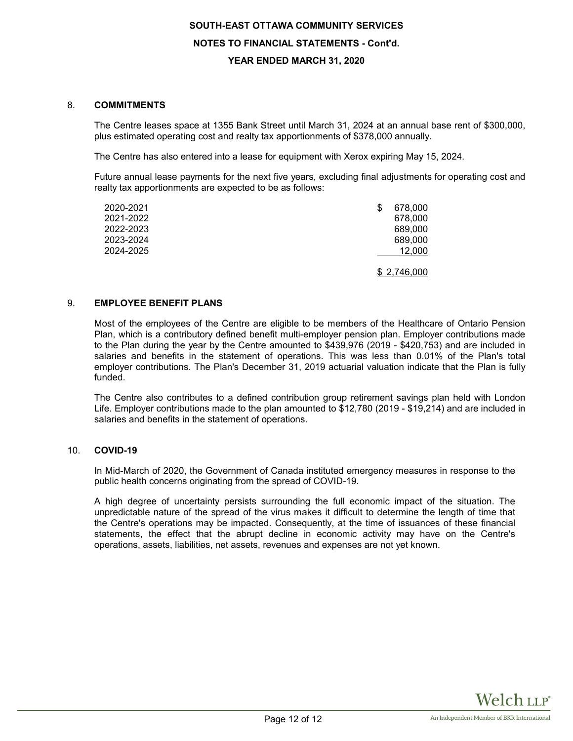#### 8. **COMMITMENTS**

The Centre leases space at 1355 Bank Street until March 31, 2024 at an annual base rent of \$300,000, plus estimated operating cost and realty tax apportionments of \$378,000 annually.

The Centre has also entered into a lease for equipment with Xerox expiring May 15, 2024.

Future annual lease payments for the next five years, excluding final adjustments for operating cost and realty tax apportionments are expected to be as follows:

| 2020-2021 | 678,000     |
|-----------|-------------|
| 2021-2022 | 678,000     |
| 2022-2023 | 689,000     |
| 2023-2024 | 689,000     |
| 2024-2025 | 12,000      |
|           | \$2,746,000 |

#### 9. **EMPLOYEE BENEFIT PLANS**

Most of the employees of the Centre are eligible to be members of the Healthcare of Ontario Pension Plan, which is a contributory defined benefit multi-employer pension plan. Employer contributions made to the Plan during the year by the Centre amounted to \$439,976 (2019 - \$420,753) and are included in salaries and benefits in the statement of operations. This was less than 0.01% of the Plan's total employer contributions. The Plan's December 31, 2019 actuarial valuation indicate that the Plan is fully funded.

The Centre also contributes to a defined contribution group retirement savings plan held with London Life. Employer contributions made to the plan amounted to \$12,780 (2019 - \$19,214) and are included in salaries and benefits in the statement of operations.

#### 10. **COVID-19**

In Mid-March of 2020, the Government of Canada instituted emergency measures in response to the public health concerns originating from the spread of COVID-19.

A high degree of uncertainty persists surrounding the full economic impact of the situation. The unpredictable nature of the spread of the virus makes it difficult to determine the length of time that the Centre's operations may be impacted. Consequently, at the time of issuances of these financial statements, the effect that the abrupt decline in economic activity may have on the Centre's operations, assets, liabilities, net assets, revenues and expenses are not yet known.

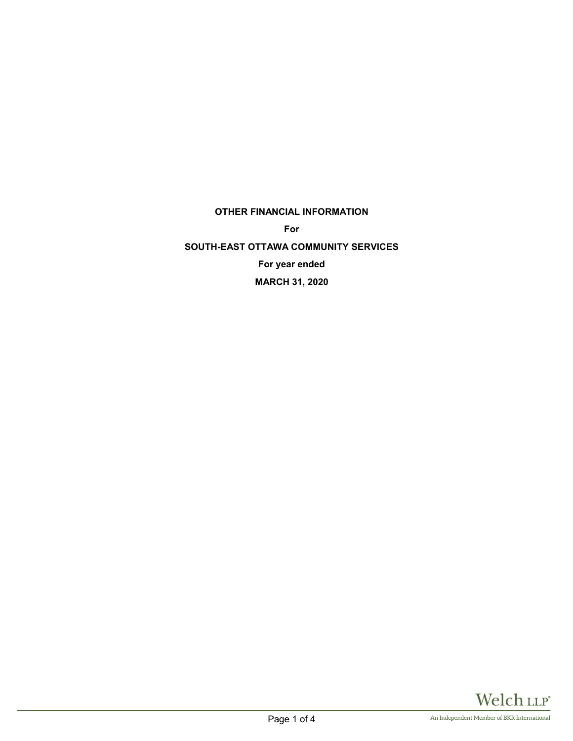# **OTHER FINANCIAL INFORMATION**

**For**

**SOUTH-EAST OTTAWA COMMUNITY SERVICES For year ended MARCH 31, 2020**

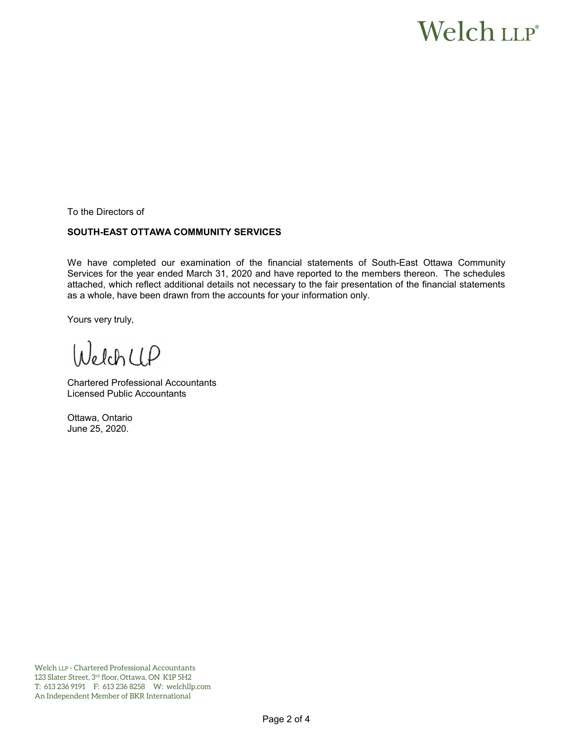# Welch LLP®

To the Directors of

# **SOUTH-EAST OTTAWA COMMUNITY SERVICES**

We have completed our examination of the financial statements of South-East Ottawa Community Services for the year ended March 31, 2020 and have reported to the members thereon. The schedules attached, which reflect additional details not necessary to the fair presentation of the financial statements as a whole, have been drawn from the accounts for your information only.

Yours very truly,

WelchCLP

Chartered Professional Accountants Licensed Public Accountants

Ottawa, Ontario June 25, 2020.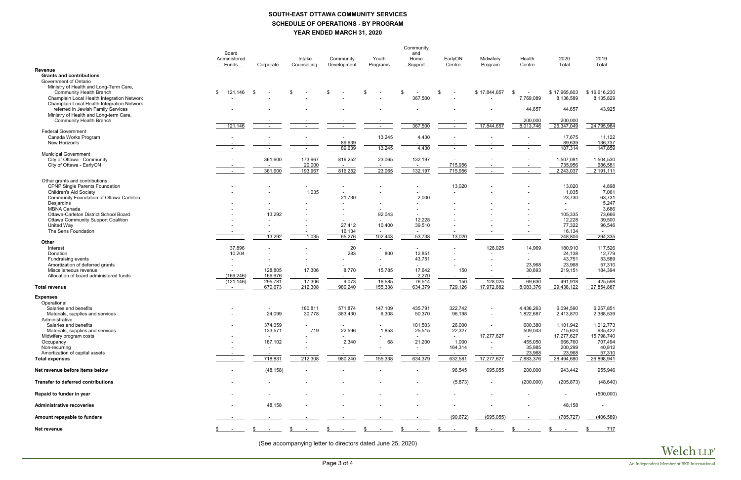# **SOUTH-EAST OTTAWA COMMUNITY SERVICES SCHEDULE OF OPERATIONS - BY PROGRAM YEAR ENDED MARCH 31, 2020**

|                                                                        | Community                |                          |                          |                          |                   |                                     |                          |                          |                          |                      |                           |
|------------------------------------------------------------------------|--------------------------|--------------------------|--------------------------|--------------------------|-------------------|-------------------------------------|--------------------------|--------------------------|--------------------------|----------------------|---------------------------|
|                                                                        | Board                    |                          |                          |                          |                   | and                                 |                          |                          |                          |                      |                           |
|                                                                        | Administered<br>Funds    | Corporate                | Intake<br>Counselling    | Community<br>Development | Youth<br>Programs | Home<br>Support                     | EarlyON<br>Centre        | Midwifery<br>Program     | Health<br>Centre         | 2020<br>Total        | 2019<br>Total             |
| <b>Revenue</b>                                                         |                          |                          |                          |                          |                   |                                     |                          |                          |                          |                      |                           |
| <b>Grants and contributions</b>                                        |                          |                          |                          |                          |                   |                                     |                          |                          |                          |                      |                           |
| Government of Ontario                                                  |                          |                          |                          |                          |                   |                                     |                          |                          |                          |                      |                           |
| Ministry of Health and Long-Term Care,                                 | \$                       |                          | \$                       | \$                       | \$                | \$                                  |                          |                          |                          | \$17,965,803         |                           |
| Community Health Branch<br>Champlain Local Health Integration Network  | 121,146                  | \$                       |                          |                          |                   | 367,500                             | \$                       | \$17,844,657             | \$<br>7,769,089          | 8,136,589            | \$16,616,230<br>8,135,829 |
| Champlain Local Health Integration Network                             |                          |                          |                          |                          |                   |                                     |                          |                          |                          |                      |                           |
| referred in Jewish Family Services                                     |                          |                          |                          |                          |                   |                                     |                          |                          | 44,657                   | 44,657               | 43,925                    |
| Ministry of Health and Long-term Care,                                 |                          |                          |                          |                          |                   |                                     |                          |                          |                          |                      |                           |
| <b>Community Health Branch</b>                                         |                          |                          |                          |                          |                   |                                     |                          |                          | 200,000                  | 200,000              | $\sim$                    |
| <b>Federal Government</b>                                              | 121,146                  | $\sim$                   | $\overline{\phantom{a}}$ | $\sim$                   | $\sim$            | 367,500                             | $\sim$                   | 17,844,657               | 8,013,746                | 26,347,049           | 24,795,984                |
| Canada Works Program                                                   |                          |                          |                          |                          | 13,245            | 4,430                               |                          |                          |                          | 17,675               | 11,122                    |
| New Horizon's                                                          |                          |                          |                          | 89,639                   |                   |                                     |                          |                          |                          | 89,639               | 136,737                   |
|                                                                        |                          |                          |                          | 89,639                   | 13,245            | 4,430                               |                          |                          | $\sim$                   | 107,314              | 147,859                   |
| <b>Municipal Government</b>                                            |                          |                          |                          |                          |                   |                                     |                          |                          |                          |                      |                           |
| City of Ottawa - Community<br>City of Ottawa - EarlyON                 |                          | 361,600                  | 173,967<br>20,000        | 816,252                  | 23,065            | 132,197<br>$\overline{\phantom{a}}$ | 715,956                  |                          |                          | 1,507,081<br>735,956 | 1,504,530<br>686,581      |
|                                                                        |                          | 361,600                  | 193,967                  | 816,252                  | 23,065            | 132,197                             | 715,956                  | $\sim$                   |                          | 2,243,037            | 2,191,111                 |
|                                                                        |                          |                          |                          |                          |                   |                                     |                          |                          |                          |                      |                           |
| Other grants and contributions                                         |                          |                          |                          |                          |                   |                                     |                          |                          |                          |                      |                           |
| <b>CPNP Single Parents Foundation</b><br><b>Children's Aid Society</b> |                          |                          | 1,035                    |                          |                   |                                     | 13,020                   |                          |                          | 13,020<br>1,035      | 4,898<br>7,061            |
| Community Foundation of Ottawa Carleton                                |                          |                          |                          | 21,730                   |                   | 2,000                               |                          |                          |                          | 23,730               | 63,731                    |
| Desjardins                                                             |                          |                          |                          |                          |                   |                                     |                          |                          |                          | $\sim$               | 5,247                     |
| MBNA Canada                                                            |                          |                          |                          |                          |                   |                                     |                          |                          |                          |                      | 3,686                     |
| Ottawa-Carleton District School Board                                  |                          | 13,292                   |                          |                          | 92,043            |                                     |                          |                          |                          | 105,335              | 73,666                    |
| <b>Ottawa Community Support Coalition</b><br>United Way                |                          |                          |                          | 27,412                   | 10,400            | 12,228<br>39,510                    |                          |                          |                          | 12,228<br>77,322     | 39,500<br>96,546          |
| The Sens Foundation                                                    |                          |                          |                          | 16,134                   |                   |                                     |                          |                          |                          | 16,134               | $\sim$                    |
|                                                                        |                          | 13,292                   | 1,035                    | 65,276                   | 102,443           | 53,738                              | 13,020                   | $\sim$                   | $\sim$                   | 248,804              | 294,335                   |
| Other                                                                  |                          |                          |                          |                          |                   |                                     |                          |                          |                          |                      |                           |
| Interest                                                               | 37,896                   |                          |                          | 20                       |                   |                                     |                          | 128,025                  | 14,969                   | 180,910              | 117,526                   |
| Donation<br>Fundraising events                                         | 10,204                   |                          |                          | 283                      | 800               | 12,851<br>43,751                    |                          |                          | $\sim$                   | 24,138<br>43,751     | 12,779<br>53,589          |
| Amortization of deferred grants                                        |                          | $\overline{\phantom{a}}$ |                          |                          |                   | $\sim$                              | $\overline{\phantom{a}}$ | $\overline{\phantom{a}}$ | 23,968                   | 23,968               | 57,310                    |
| Miscellaneous revenue                                                  |                          | 128,805                  | 17,306                   | 8,770                    | 15,785            | 17,642                              | 150                      |                          | 30,693                   | 219,151              | 184,394                   |
| Allocation of board administered funds                                 | (169, 246)               | 166,976                  |                          |                          |                   | 2,270                               |                          |                          |                          | $\sim$               |                           |
|                                                                        | (121, 146)               | 295,781                  | 17,306<br>212,308        | 9,073                    | 16,585<br>155,338 | 76,514                              | 150<br>729,126           | 128,025<br>17,972,682    | 69,630                   | 491,918              | 425,598<br>27,854,887     |
| <b>Total revenue</b>                                                   | $\overline{\phantom{a}}$ | 670,673                  |                          | 980,240                  |                   | 634,379                             |                          |                          | 8,083,376                | 29,438,122           |                           |
| <b>Expenses</b>                                                        |                          |                          |                          |                          |                   |                                     |                          |                          |                          |                      |                           |
| Operational                                                            |                          |                          |                          |                          |                   |                                     |                          |                          |                          |                      |                           |
| Salaries and benefits                                                  |                          |                          | 180,811<br>30,778        | 571,874                  | 147,109           | 435,791                             | 322,742<br>96,198        |                          | 4,436,263                | 6,094,590            | 6,257,851<br>2,388,539    |
| Materials, supplies and services<br>Administrative                     |                          | 24,099                   |                          | 383,430                  | 6,308             | 50,370                              |                          |                          | 1,822,687                | 2,413,870            |                           |
| Salaries and benefits                                                  |                          | 374,059                  |                          |                          |                   | 101,503                             | 26,000                   | $\overline{\phantom{a}}$ | 600,380                  | 1,101,942            | 1,012,773                 |
| Materials, supplies and services                                       |                          | 133,571                  | 719                      | 22,596                   | 1,853             | 25,515                              | 22,327                   | $\overline{\phantom{a}}$ | 509,043                  | 715,624              | 635,422                   |
| Midwifery program costs                                                |                          |                          |                          |                          |                   | $\sim$                              | $\sim$                   | 17,277,627               | $\sim$                   | 17,277,627           | 15,798,740                |
| Occupancy<br>Non-recurring                                             |                          | 187,102                  |                          | 2,340                    | 68                | 21,200                              | 1,000                    | $\sim$                   | 455,050                  | 666,760              | 707,494<br>40,812         |
| Amortization of capital assets                                         |                          | $\sim$                   |                          |                          | $\sim$            | $\overline{\phantom{a}}$            | 164,314<br>$\sim$        |                          | 35,985<br>23,968         | 200,299<br>23,968    | 57,310                    |
| <b>Total expenses</b>                                                  | $\sim$                   | 718,831                  | 212,308                  | 980,240                  | 155,338           | 634,379                             | 632,581                  | 17,277,627               | 7,883,376                | 28,494,680           | 26,898,941                |
|                                                                        |                          |                          |                          |                          |                   |                                     |                          |                          |                          |                      |                           |
| Net revenue before items below                                         |                          | (48, 158)                |                          |                          |                   |                                     | 96,545                   | 695,055                  | 200,000                  | 943,442              | 955,946                   |
|                                                                        |                          |                          |                          |                          |                   |                                     |                          |                          |                          |                      |                           |
| <b>Transfer to deferred contributions</b>                              |                          | $\overline{\phantom{a}}$ |                          |                          |                   |                                     | (5, 873)                 | $\sim$                   | (200,000)                | (205, 873)           | (48, 640)                 |
| Repaid to funder in year                                               |                          |                          |                          |                          |                   |                                     |                          | $\overline{\phantom{a}}$ | $\overline{\phantom{a}}$ | $\sim$               | (500,000)                 |
|                                                                        |                          |                          |                          |                          |                   |                                     |                          |                          |                          |                      |                           |
| <b>Administrative recoveries</b>                                       |                          | 48,158                   |                          |                          |                   |                                     |                          |                          |                          | 48,158               |                           |
|                                                                        |                          |                          |                          |                          |                   |                                     |                          |                          |                          |                      |                           |
| Amount repayable to funders                                            |                          | $\overline{\phantom{a}}$ |                          |                          |                   | $\overline{\phantom{a}}$            | (90, 672)                | (695, 055)               | $\sim$                   | (785, 727)           | (406, 589)                |
|                                                                        |                          |                          |                          |                          |                   |                                     |                          |                          |                          |                      |                           |
| Net revenue                                                            |                          | - \$                     | \$                       |                          |                   |                                     |                          |                          |                          |                      | 717                       |

(See accompanying letter to directors dated June 25, 2020)

| 2020<br><b>Total</b>                                                             | 2019<br><b>Total</b>                                                                |  |  |  |  |  |  |
|----------------------------------------------------------------------------------|-------------------------------------------------------------------------------------|--|--|--|--|--|--|
|                                                                                  |                                                                                     |  |  |  |  |  |  |
| 17,965,803<br>\$<br>8,136,589                                                    | \$16,616,230<br>8,135,829                                                           |  |  |  |  |  |  |
| 44,657                                                                           | 43,925                                                                              |  |  |  |  |  |  |
| 200,000<br>26,347,049                                                            | 24,795,984                                                                          |  |  |  |  |  |  |
| 17,675<br>89,639<br>107,314                                                      | 11,122<br>136,737<br>147,859                                                        |  |  |  |  |  |  |
| 1,507,081<br>735,956<br>2,243,037                                                | 1,504,530<br><u>686,581</u><br>2,191,111                                            |  |  |  |  |  |  |
| 13,020<br>1,035<br>23,730<br>105,335<br>12,228<br>77,322<br>16,134<br>248,804    | 4,898<br>7,061<br>63,731<br>5,247<br>3,686<br>73,666<br>39,500<br>96,546<br>294,335 |  |  |  |  |  |  |
| 180,910<br>24,138<br>43,751<br>23,968<br>219,151                                 | 117,526<br>12,779<br>53,589<br>57,310<br>184,394                                    |  |  |  |  |  |  |
| 491,918<br>29,438,122                                                            | <u>425,598</u><br>27,854,887                                                        |  |  |  |  |  |  |
| 6,094,590<br>2,413,870                                                           | 6,257,851<br>2,388,539                                                              |  |  |  |  |  |  |
| 1,101,942<br>715,624<br>17,277,627<br>666,760<br>200,299<br>23,968<br>28,494,680 | 1,012,773<br>635,422<br>15,798,740<br>707,494<br>40,812<br>57,310<br>26,898,941     |  |  |  |  |  |  |
| 943,442                                                                          | 955,946                                                                             |  |  |  |  |  |  |
| (205, 873)                                                                       | (48, 640)                                                                           |  |  |  |  |  |  |
|                                                                                  | (500,000)                                                                           |  |  |  |  |  |  |
| 48,158                                                                           |                                                                                     |  |  |  |  |  |  |
| (785, 727)                                                                       | (406, 589)                                                                          |  |  |  |  |  |  |
| \$                                                                               | \$_<br>717                                                                          |  |  |  |  |  |  |